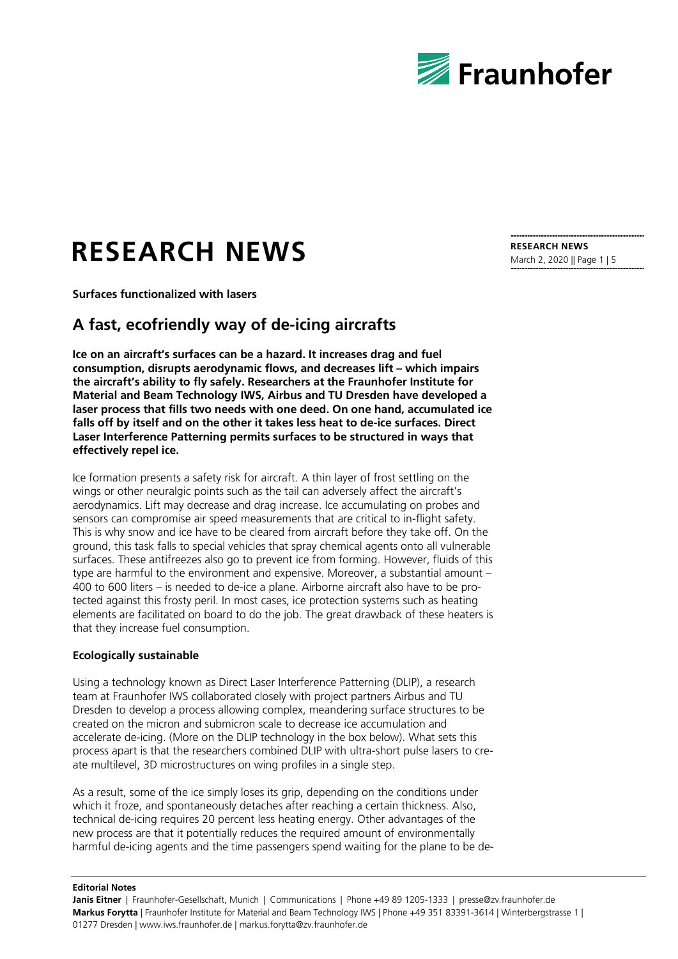

# **RESEARCH NEWS**

**Surfaces functionalized with lasers**

## **A fast, ecofriendly way of de-icing aircrafts**

**Ice on an aircraft's surfaces can be a hazard. It increases drag and fuel consumption, disrupts aerodynamic flows, and decreases lift – which impairs the aircraft's ability to fly safely. Researchers at the Fraunhofer Institute for Material and Beam Technology IWS, Airbus and TU Dresden have developed a laser process that fills two needs with one deed. On one hand, accumulated ice falls off by itself and on the other it takes less heat to de-ice surfaces. Direct Laser Interference Patterning permits surfaces to be structured in ways that effectively repel ice.**

Ice formation presents a safety risk for aircraft. A thin layer of frost settling on the wings or other neuralgic points such as the tail can adversely affect the aircraft's aerodynamics. Lift may decrease and drag increase. Ice accumulating on probes and sensors can compromise air speed measurements that are critical to in-flight safety. This is why snow and ice have to be cleared from aircraft before they take off. On the ground, this task falls to special vehicles that spray chemical agents onto all vulnerable surfaces. These antifreezes also go to prevent ice from forming. However, fluids of this type are harmful to the environment and expensive. Moreover, a substantial amount – 400 to 600 liters – is needed to de-ice a plane. Airborne aircraft also have to be protected against this frosty peril. In most cases, ice protection systems such as heating elements are facilitated on board to do the job. The great drawback of these heaters is that they increase fuel consumption.

## **Ecologically sustainable**

Using a technology known as Direct Laser Interference Patterning (DLIP), a research team at Fraunhofer IWS collaborated closely with project partners Airbus and TU Dresden to develop a process allowing complex, meandering surface structures to be created on the micron and submicron scale to decrease ice accumulation and accelerate de-icing. (More on the DLIP technology in the box below). What sets this process apart is that the researchers combined DLIP with ultra-short pulse lasers to create multilevel, 3D microstructures on wing profiles in a single step.

As a result, some of the ice simply loses its grip, depending on the conditions under which it froze, and spontaneously detaches after reaching a certain thickness. Also, technical de-icing requires 20 percent less heating energy. Other advantages of the new process are that it potentially reduces the required amount of environmentally harmful de-icing agents and the time passengers spend waiting for the plane to be de-

#### **Editorial Notes**

**Janis Eitner** | Fraunhofer-Gesellschaft, Munich | Communications | Phone +49 89 1205-1333 | presse@zv.fraunhofer.de **Markus Forytta** | Fraunhofer Institute for Material and Beam Technology IWS | Phone +49 351 83391-3614 | Winterbergstrasse 1 | 01277 Dresden | www.iws.fraunhofer.de | markus.forytta@zv.fraunhofer.de

**RESEARCH NEWS** March 2, 2020 || Page 1 | 5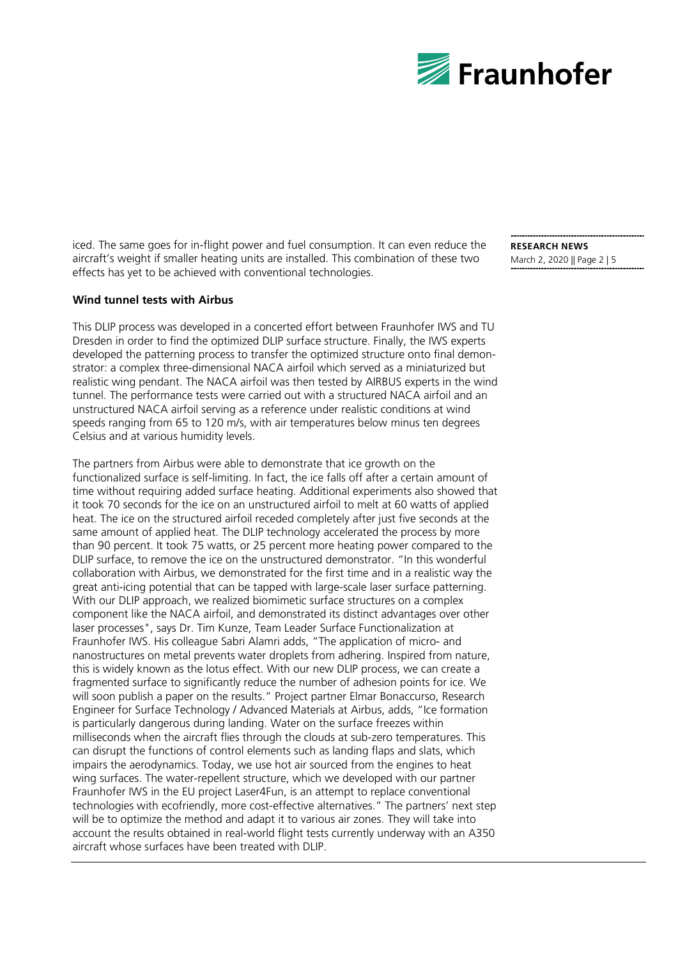

iced. The same goes for in-flight power and fuel consumption. It can even reduce the aircraft's weight if smaller heating units are installed. This combination of these two effects has yet to be achieved with conventional technologies.

## **Wind tunnel tests with Airbus**

This DLIP process was developed in a concerted effort between Fraunhofer IWS and TU Dresden in order to find the optimized DLIP surface structure. Finally, the IWS experts developed the patterning process to transfer the optimized structure onto final demonstrator: a complex three-dimensional NACA airfoil which served as a miniaturized but realistic wing pendant. The NACA airfoil was then tested by AIRBUS experts in the wind tunnel. The performance tests were carried out with a structured NACA airfoil and an unstructured NACA airfoil serving as a reference under realistic conditions at wind speeds ranging from 65 to 120 m/s, with air temperatures below minus ten degrees Celsius and at various humidity levels.

The partners from Airbus were able to demonstrate that ice growth on the functionalized surface is self-limiting. In fact, the ice falls off after a certain amount of time without requiring added surface heating. Additional experiments also showed that it took 70 seconds for the ice on an unstructured airfoil to melt at 60 watts of applied heat. The ice on the structured airfoil receded completely after just five seconds at the same amount of applied heat. The DLIP technology accelerated the process by more than 90 percent. It took 75 watts, or 25 percent more heating power compared to the DLIP surface, to remove the ice on the unstructured demonstrator. "In this wonderful collaboration with Airbus, we demonstrated for the first time and in a realistic way the great anti-icing potential that can be tapped with large-scale laser surface patterning. With our DLIP approach, we realized biomimetic surface structures on a complex component like the NACA airfoil, and demonstrated its distinct advantages over other laser processes", says Dr. Tim Kunze, Team Leader Surface Functionalization at Fraunhofer IWS. His colleague Sabri Alamri adds, "The application of micro- and nanostructures on metal prevents water droplets from adhering. Inspired from nature, this is widely known as the lotus effect. With our new DLIP process, we can create a fragmented surface to significantly reduce the number of adhesion points for ice. We will soon publish a paper on the results." Project partner Elmar Bonaccurso, Research Engineer for Surface Technology / Advanced Materials at Airbus, adds, "Ice formation is particularly dangerous during landing. Water on the surface freezes within milliseconds when the aircraft flies through the clouds at sub-zero temperatures. This can disrupt the functions of control elements such as landing flaps and slats, which impairs the aerodynamics. Today, we use hot air sourced from the engines to heat wing surfaces. The water-repellent structure, which we developed with our partner Fraunhofer IWS in the EU project Laser4Fun, is an attempt to replace conventional technologies with ecofriendly, more cost-effective alternatives." The partners' next step will be to optimize the method and adapt it to various air zones. They will take into account the results obtained in real-world flight tests currently underway with an A350 aircraft whose surfaces have been treated with DLIP.

**RESEARCH NEWS** March 2, 2020 || Page 2 | 5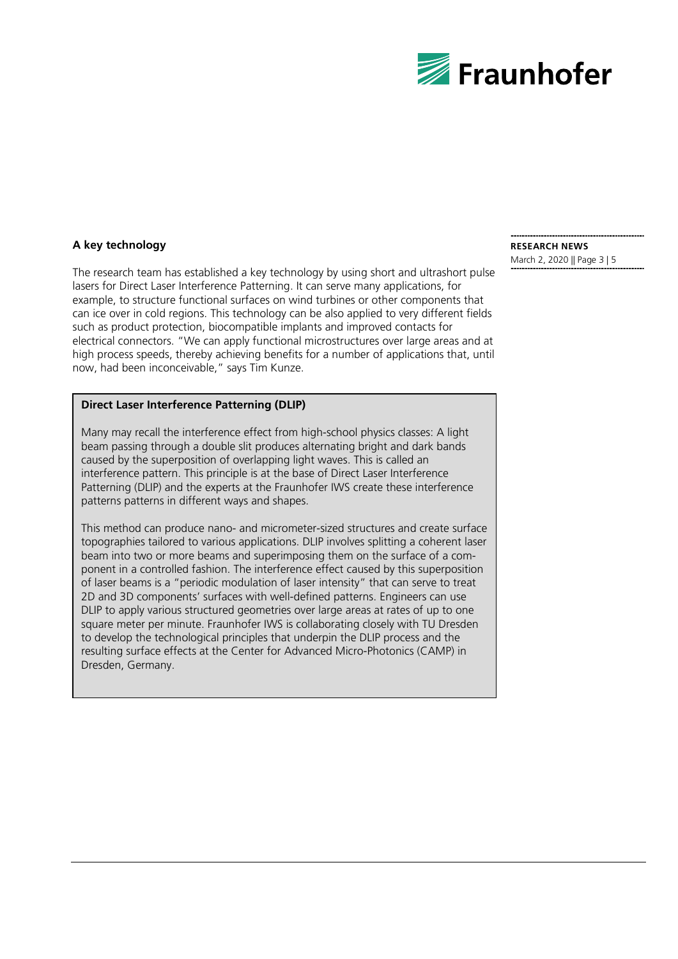

## **A key technology**

The research team has established a key technology by using short and ultrashort pulse lasers for Direct Laser Interference Patterning. It can serve many applications, for example, to structure functional surfaces on wind turbines or other components that can ice over in cold regions. This technology can be also applied to very different fields such as product protection, biocompatible implants and improved contacts for electrical connectors. "We can apply functional microstructures over large areas and at high process speeds, thereby achieving benefits for a number of applications that, until now, had been inconceivable," says Tim Kunze.

## **Direct Laser Interference Patterning (DLIP)**

Many may recall the interference effect from high-school physics classes: A light beam passing through a double slit produces alternating bright and dark bands caused by the superposition of overlapping light waves. This is called an interference pattern. This principle is at the base of Direct Laser Interference Patterning (DLIP) and the experts at the Fraunhofer IWS create these interference patterns patterns in different ways and shapes.

This method can produce nano- and micrometer-sized structures and create surface topographies tailored to various applications. DLIP involves splitting a coherent laser beam into two or more beams and superimposing them on the surface of a component in a controlled fashion. The interference effect caused by this superposition of laser beams is a "periodic modulation of laser intensity" that can serve to treat 2D and 3D components' surfaces with well-defined patterns. Engineers can use DLIP to apply various structured geometries over large areas at rates of up to one square meter per minute. Fraunhofer IWS is collaborating closely with TU Dresden to develop the technological principles that underpin the DLIP process and the resulting surface effects at the Center for Advanced Micro-Photonics (CAMP) in Dresden, Germany.

## **RESEARCH NEWS**

March 2, 2020 || Page 3 | 5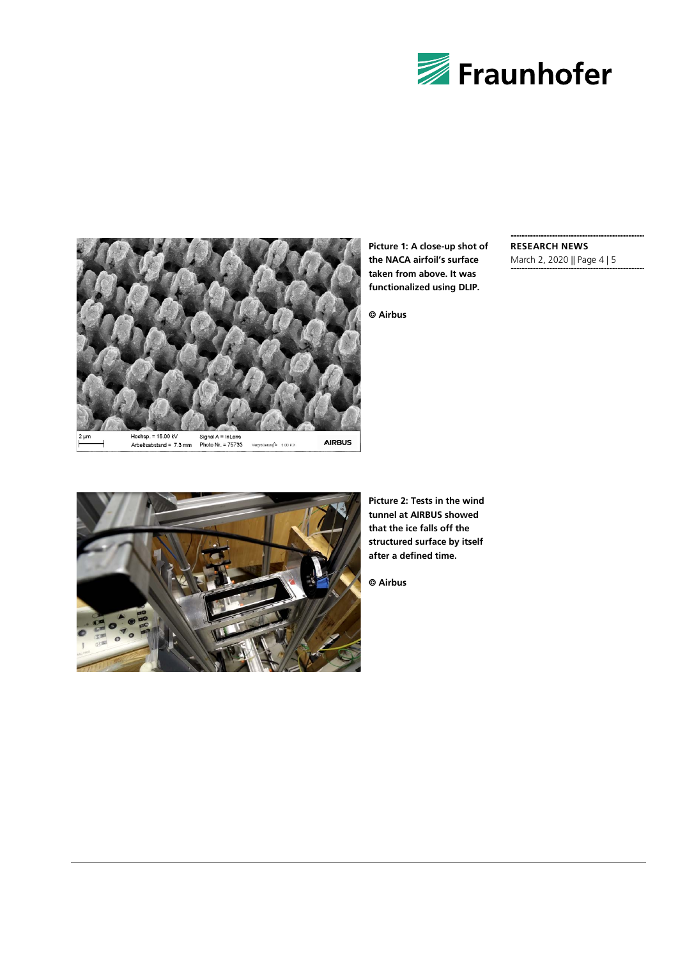



**Picture 1: A close-up shot of the NACA airfoil's surface taken from above. It was functionalized using DLIP.**

**© Airbus**

## **RESEARCH NEWS**

March 2, 2020 || Page 4 | 5



**Picture 2: Tests in the wind tunnel at AIRBUS showed that the ice falls off the structured surface by itself after a defined time.**

**© Airbus**